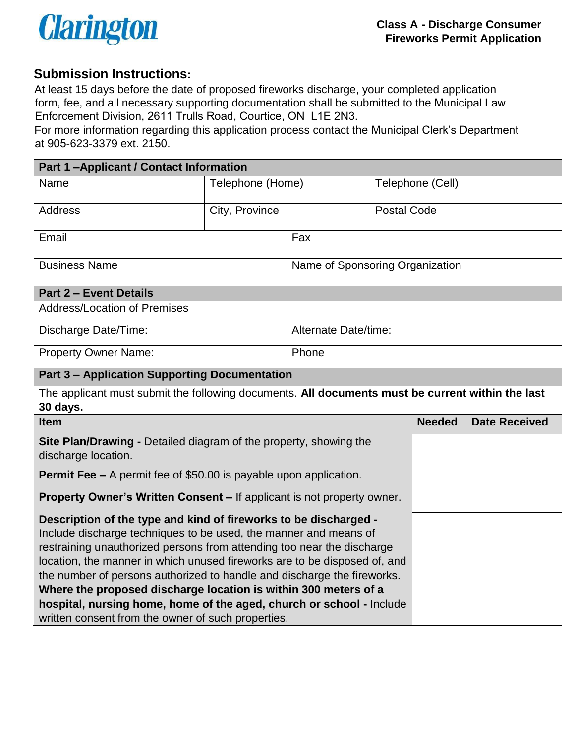

# **Submission Instructions:**

At least 15 days before the date of proposed fireworks discharge, your completed application form, fee, and all necessary supporting documentation shall be submitted to the Municipal Law Enforcement Division, 2611 Trulls Road, Courtice, ON L1E 2N3.

For more information regarding this application process contact the Municipal Clerk's Department at 905-623-3379 ext. 2150.

| <b>Part 1-Applicant / Contact Information</b> |                  |                                 |                    |  |  |  |
|-----------------------------------------------|------------------|---------------------------------|--------------------|--|--|--|
| Name                                          | Telephone (Home) |                                 | Telephone (Cell)   |  |  |  |
|                                               |                  |                                 |                    |  |  |  |
| <b>Address</b>                                | City, Province   |                                 | <b>Postal Code</b> |  |  |  |
|                                               |                  |                                 |                    |  |  |  |
| Email                                         |                  | Fax                             |                    |  |  |  |
|                                               |                  |                                 |                    |  |  |  |
| <b>Business Name</b>                          |                  | Name of Sponsoring Organization |                    |  |  |  |
|                                               |                  |                                 |                    |  |  |  |
| <b>Part 2 - Event Details</b>                 |                  |                                 |                    |  |  |  |
| <b>Address/Location of Premises</b>           |                  |                                 |                    |  |  |  |
|                                               |                  |                                 |                    |  |  |  |
| Discharge Date/Time:                          |                  | Alternate Date/time:            |                    |  |  |  |

| <b>DISCHATGE DATE:</b> TIME. | AIGHALG DAIG/IIIIG. |
|------------------------------|---------------------|
| <b>Property Owner Name:</b>  | <b>Phone</b>        |

#### **Part 3 – Application Supporting Documentation**

The applicant must submit the following documents. **All documents must be current within the last 30 days.**

| <b>Item</b>                                                                                     | <b>Needed</b> | <b>Date Received</b> |
|-------------------------------------------------------------------------------------------------|---------------|----------------------|
| <b>Site Plan/Drawing - Detailed diagram of the property, showing the</b><br>discharge location. |               |                      |
| <b>Permit Fee –</b> A permit fee of \$50.00 is payable upon application.                        |               |                      |
| <b>Property Owner's Written Consent – If applicant is not property owner.</b>                   |               |                      |
| Description of the type and kind of fireworks to be discharged -                                |               |                      |
| Include discharge techniques to be used, the manner and means of                                |               |                      |
| restraining unauthorized persons from attending too near the discharge                          |               |                      |
| location, the manner in which unused fireworks are to be disposed of, and                       |               |                      |
| the number of persons authorized to handle and discharge the fireworks.                         |               |                      |
| Where the proposed discharge location is within 300 meters of a                                 |               |                      |
| hospital, nursing home, home of the aged, church or school - Include                            |               |                      |
| written consent from the owner of such properties.                                              |               |                      |